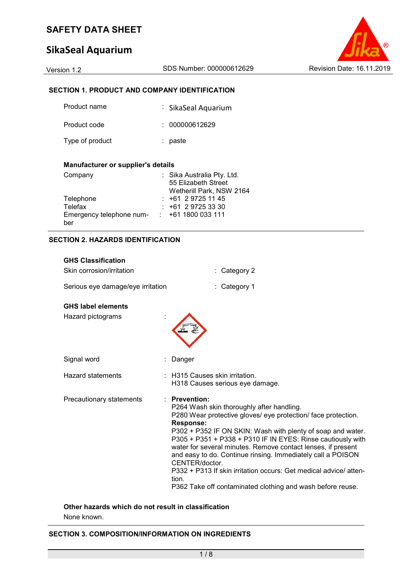# **SikaSeal Aquarium**



## **SECTION 1. PRODUCT AND COMPANY IDENTIFICATION**

| Product name    | : SikaSeal Aquarium |
|-----------------|---------------------|
| Product code    | : 000000612629      |
| Type of product | : paste             |

### **Manufacturer or supplier's details**

| Company                  | : Sika Australia Pty. Ltd. |
|--------------------------|----------------------------|
|                          | 55 Elizabeth Street        |
|                          | Wetherill Park, NSW 2164   |
| Telephone                | $: +61297251145$           |
| Telefax                  | $: +61297253330$           |
| Emergency telephone num- | $: +611800033111$          |
| ber                      |                            |

### **SECTION 2. HAZARDS IDENTIFICATION**

| <b>GHS Classification</b>         |                                                                                                                                                                                                                                                                                                                                                                                                                                                                                                                                                                                |
|-----------------------------------|--------------------------------------------------------------------------------------------------------------------------------------------------------------------------------------------------------------------------------------------------------------------------------------------------------------------------------------------------------------------------------------------------------------------------------------------------------------------------------------------------------------------------------------------------------------------------------|
| Skin corrosion/irritation         | Category 2                                                                                                                                                                                                                                                                                                                                                                                                                                                                                                                                                                     |
| Serious eye damage/eye irritation | Category 1                                                                                                                                                                                                                                                                                                                                                                                                                                                                                                                                                                     |
| <b>GHS label elements</b>         |                                                                                                                                                                                                                                                                                                                                                                                                                                                                                                                                                                                |
| Hazard pictograms                 |                                                                                                                                                                                                                                                                                                                                                                                                                                                                                                                                                                                |
| Signal word                       | Danger                                                                                                                                                                                                                                                                                                                                                                                                                                                                                                                                                                         |
| Hazard statements                 | $\pm$ H315 Causes skin irritation.<br>H318 Causes serious eye damage.                                                                                                                                                                                                                                                                                                                                                                                                                                                                                                          |
| Precautionary statements          | <b>Prevention:</b><br>P264 Wash skin thoroughly after handling.<br>P280 Wear protective gloves/ eye protection/ face protection.<br><b>Response:</b><br>P302 + P352 IF ON SKIN: Wash with plenty of soap and water.<br>P305 + P351 + P338 + P310 IF IN EYES: Rinse cautiously with<br>water for several minutes. Remove contact lenses, if present<br>and easy to do. Continue rinsing. Immediately call a POISON<br>CENTER/doctor.<br>P332 + P313 If skin irritation occurs: Get medical advice/atten-<br>tion.<br>P362 Take off contaminated clothing and wash before reuse. |

# **Other hazards which do not result in classification**

None known.

### **SECTION 3. COMPOSITION/INFORMATION ON INGREDIENTS**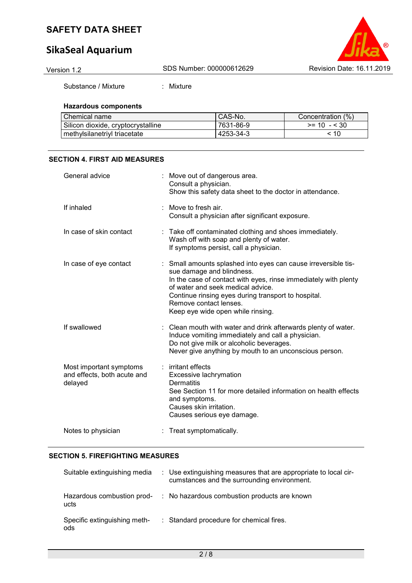# **SikaSeal Aquarium**



Substance / Mixture : Mixture

### **Hazardous components**

| Chemical name                      | CAS-No.     | Concentration (%) |
|------------------------------------|-------------|-------------------|
| Silicon dioxide, cryptocrystalline | 7631-86-9   | $>= 10 - 530$     |
| methylsilanetrivl triacetate       | l 4253-34-3 | < 10              |

### **SECTION 4. FIRST AID MEASURES**

| General advice                                                    | : Move out of dangerous area.<br>Consult a physician.<br>Show this safety data sheet to the doctor in attendance.                                                                                                                                                                                                         |
|-------------------------------------------------------------------|---------------------------------------------------------------------------------------------------------------------------------------------------------------------------------------------------------------------------------------------------------------------------------------------------------------------------|
| If inhaled                                                        | $:$ Move to fresh air.<br>Consult a physician after significant exposure.                                                                                                                                                                                                                                                 |
| In case of skin contact                                           | : Take off contaminated clothing and shoes immediately.<br>Wash off with soap and plenty of water.<br>If symptoms persist, call a physician.                                                                                                                                                                              |
| In case of eye contact                                            | : Small amounts splashed into eyes can cause irreversible tis-<br>sue damage and blindness.<br>In the case of contact with eyes, rinse immediately with plenty<br>of water and seek medical advice.<br>Continue rinsing eyes during transport to hospital.<br>Remove contact lenses.<br>Keep eye wide open while rinsing. |
| If swallowed                                                      | : Clean mouth with water and drink afterwards plenty of water.<br>Induce vomiting immediately and call a physician.<br>Do not give milk or alcoholic beverages.<br>Never give anything by mouth to an unconscious person.                                                                                                 |
| Most important symptoms<br>and effects, both acute and<br>delayed | : irritant effects<br>Excessive lachrymation<br>Dermatitis<br>See Section 11 for more detailed information on health effects<br>and symptoms.<br>Causes skin irritation.<br>Causes serious eye damage.                                                                                                                    |
| Notes to physician                                                | : Treat symptomatically.                                                                                                                                                                                                                                                                                                  |

### **SECTION 5. FIREFIGHTING MEASURES**

| Suitable extinguishing media        | : Use extinguishing measures that are appropriate to local cir-<br>cumstances and the surrounding environment. |
|-------------------------------------|----------------------------------------------------------------------------------------------------------------|
| ucts                                | Hazardous combustion prod- : No hazardous combustion products are known                                        |
| Specific extinguishing meth-<br>ods | : Standard procedure for chemical fires.                                                                       |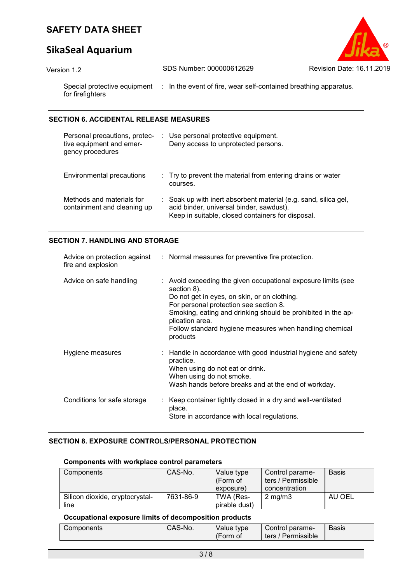# **SikaSeal Aquarium**



Version 1.2 SDS Number: 000000612629 Revision Date: 16.11.2019 Special protective equipment : In the event of fire, wear self-contained breathing apparatus. for firefighters

### **SECTION 6. ACCIDENTAL RELEASE MEASURES**

| Personal precautions, protec-<br>tive equipment and emer-<br>gency procedures | : Use personal protective equipment.<br>Deny access to unprotected persons.                                                                                                 |
|-------------------------------------------------------------------------------|-----------------------------------------------------------------------------------------------------------------------------------------------------------------------------|
| Environmental precautions                                                     | $\therefore$ Try to prevent the material from entering drains or water<br>courses.                                                                                          |
| Methods and materials for<br>containment and cleaning up                      | $\therefore$ Soak up with inert absorbent material (e.g. sand, silica gel,<br>acid binder, universal binder, sawdust).<br>Keep in suitable, closed containers for disposal. |

### **SECTION 7. HANDLING AND STORAGE**

| fire and explosion          | Advice on protection against : Normal measures for preventive fire protection.                                                                                                                                                                                                                                                   |
|-----------------------------|----------------------------------------------------------------------------------------------------------------------------------------------------------------------------------------------------------------------------------------------------------------------------------------------------------------------------------|
| Advice on safe handling     | : Avoid exceeding the given occupational exposure limits (see<br>section 8).<br>Do not get in eyes, on skin, or on clothing.<br>For personal protection see section 8.<br>Smoking, eating and drinking should be prohibited in the ap-<br>plication area.<br>Follow standard hygiene measures when handling chemical<br>products |
| Hygiene measures            | : Handle in accordance with good industrial hygiene and safety<br>practice.<br>When using do not eat or drink.<br>When using do not smoke.<br>Wash hands before breaks and at the end of workday.                                                                                                                                |
| Conditions for safe storage | : Keep container tightly closed in a dry and well-ventilated<br>place.<br>Store in accordance with local regulations.                                                                                                                                                                                                            |

## **SECTION 8. EXPOSURE CONTROLS/PERSONAL PROTECTION**

### **Components with workplace control parameters**

| Components                              | CAS-No.   | Value type<br>(Form of<br>exposure) | Control parame-<br>ters / Permissible<br>concentration | <b>Basis</b> |
|-----------------------------------------|-----------|-------------------------------------|--------------------------------------------------------|--------------|
| Silicon dioxide, cryptocrystal-<br>line | 7631-86-9 | TWA (Res-<br>pirable dust)          | $2 \text{ mg/m}$                                       | AU OEL       |

### **Occupational exposure limits of decomposition products**

| Components | CAS-No. | Value type | Control parame-         | <b>Basis</b> |
|------------|---------|------------|-------------------------|--------------|
|            |         | ≀Form of   | ' Permissible<br>ters / |              |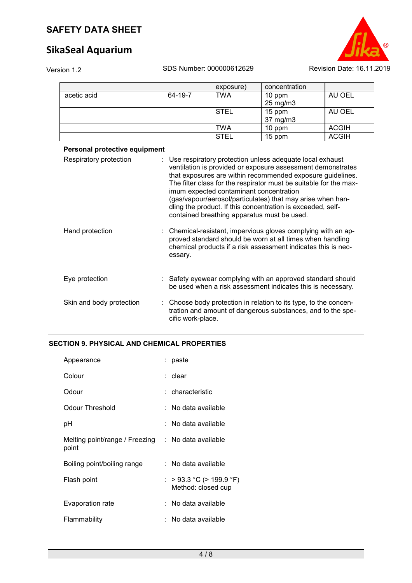# **SikaSeal Aquarium**



| Version 1.2                               |                   | SDS Number: 000000612629                |                                                                                                                                                                                                                                                                                                                                                                                                                                                                                                                                                                                                                                         | Revision Date: 16.11.2019 |  |  |
|-------------------------------------------|-------------------|-----------------------------------------|-----------------------------------------------------------------------------------------------------------------------------------------------------------------------------------------------------------------------------------------------------------------------------------------------------------------------------------------------------------------------------------------------------------------------------------------------------------------------------------------------------------------------------------------------------------------------------------------------------------------------------------------|---------------------------|--|--|
|                                           |                   | exposure)                               | concentration                                                                                                                                                                                                                                                                                                                                                                                                                                                                                                                                                                                                                           |                           |  |  |
| acetic acid                               | 64-19-7           | <b>TWA</b>                              | 10 ppm<br>25 mg/m3                                                                                                                                                                                                                                                                                                                                                                                                                                                                                                                                                                                                                      | AU OEL                    |  |  |
|                                           |                   | <b>STEL</b>                             | 15 ppm<br>37 mg/m3                                                                                                                                                                                                                                                                                                                                                                                                                                                                                                                                                                                                                      | AU OEL                    |  |  |
|                                           |                   | <b>TWA</b>                              | 10 ppm                                                                                                                                                                                                                                                                                                                                                                                                                                                                                                                                                                                                                                  | <b>ACGIH</b>              |  |  |
|                                           |                   | <b>STEL</b>                             | 15 ppm                                                                                                                                                                                                                                                                                                                                                                                                                                                                                                                                                                                                                                  | <b>ACGIH</b>              |  |  |
| Personal protective equipment             |                   |                                         |                                                                                                                                                                                                                                                                                                                                                                                                                                                                                                                                                                                                                                         |                           |  |  |
| Respiratory protection<br>Hand protection | essary.           | imum expected contaminant concentration | : Use respiratory protection unless adequate local exhaust<br>ventilation is provided or exposure assessment demonstrates<br>that exposures are within recommended exposure guidelines.<br>The filter class for the respirator must be suitable for the max-<br>(gas/vapour/aerosol/particulates) that may arise when han-<br>dling the product. If this concentration is exceeded, self-<br>contained breathing apparatus must be used.<br>: Chemical-resistant, impervious gloves complying with an ap-<br>proved standard should be worn at all times when handling<br>chemical products if a risk assessment indicates this is nec- |                           |  |  |
| Eye protection                            |                   |                                         | : Safety eyewear complying with an approved standard should<br>be used when a risk assessment indicates this is necessary.                                                                                                                                                                                                                                                                                                                                                                                                                                                                                                              |                           |  |  |
| Skin and body protection                  | cific work-place. |                                         | : Choose body protection in relation to its type, to the concen-<br>tration and amount of dangerous substances, and to the spe-                                                                                                                                                                                                                                                                                                                                                                                                                                                                                                         |                           |  |  |

## **SECTION 9. PHYSICAL AND CHEMICAL PROPERTIES**

| Appearance                              | paste                                          |  |
|-----------------------------------------|------------------------------------------------|--|
| Colour                                  | : clear                                        |  |
| Odour                                   | $:$ characteristic                             |  |
| Odour Threshold                         | ∶ No data available                            |  |
| рH                                      | ∶ No data available                            |  |
| Melting point/range / Freezing<br>point | $:$ No data available                          |  |
| Boiling point/boiling range             | : No data available                            |  |
| Flash point                             | : > 93.3 °C (> 199.9 °F)<br>Method: closed cup |  |
| Evaporation rate                        | : No data available                            |  |
| Flammability                            | No data available                              |  |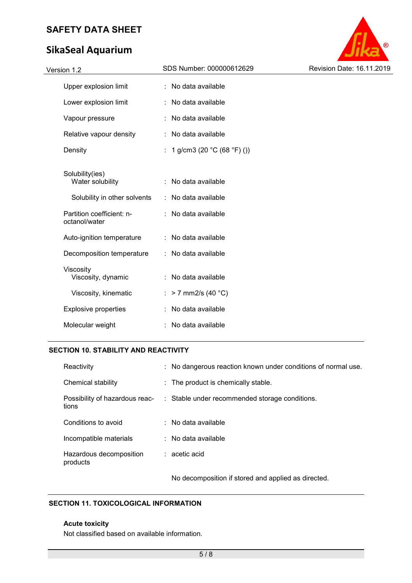# **SikaSeal Aquarium**



## **SECTION 10. STABILITY AND REACTIVITY**

| Reactivity                          | : No dangerous reaction known under conditions of normal use.                 |
|-------------------------------------|-------------------------------------------------------------------------------|
| Chemical stability                  | $\therefore$ The product is chemically stable.                                |
| tions                               | Possibility of hazardous reac- : Stable under recommended storage conditions. |
| Conditions to avoid                 | $\therefore$ No data available                                                |
| Incompatible materials              | $\therefore$ No data available                                                |
| Hazardous decomposition<br>products | $\therefore$ acetic acid                                                      |

No decomposition if stored and applied as directed.

## **SECTION 11. TOXICOLOGICAL INFORMATION**

### **Acute toxicity**

Not classified based on available information.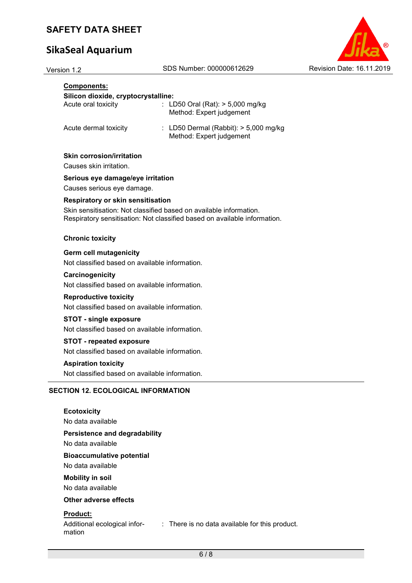# **SikaSeal Aquarium**

Version 1.2 SDS Number: 000000612629 Revision Date: 16.11.2019



# **Components: Silicon dioxide, cryptocrystalline:**  Acute oral toxicity : LD50 Oral (Rat): > 5,000 mg/kg Method: Expert judgement Acute dermal toxicity : LD50 Dermal (Rabbit): > 5,000 mg/kg Method: Expert judgement **Skin corrosion/irritation**  Causes skin irritation. **Serious eye damage/eye irritation**  Causes serious eye damage. **Respiratory or skin sensitisation**  Skin sensitisation: Not classified based on available information. Respiratory sensitisation: Not classified based on available information. **Chronic toxicity Germ cell mutagenicity**  Not classified based on available information. **Carcinogenicity**  Not classified based on available information. **Reproductive toxicity**  Not classified based on available information. **STOT - single exposure**  Not classified based on available information. **STOT - repeated exposure**  Not classified based on available information. **Aspiration toxicity**  Not classified based on available information. **SECTION 12. ECOLOGICAL INFORMATION Ecotoxicity**

No data available **Persistence and degradability**  No data available **Bioaccumulative potential**  No data available **Mobility in soil**  No data available **Other adverse effects Product:** 

Additional ecological information

: There is no data available for this product.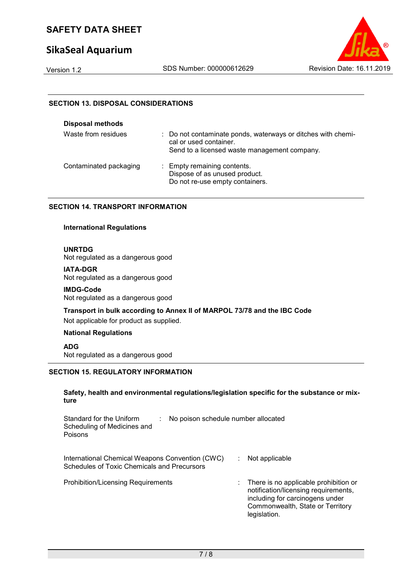# **SikaSeal Aquarium**



### **SECTION 13. DISPOSAL CONSIDERATIONS**

| <b>Disposal methods</b> |                                                                                                                                        |
|-------------------------|----------------------------------------------------------------------------------------------------------------------------------------|
| Waste from residues     | : Do not contaminate ponds, waterways or ditches with chemi-<br>cal or used container.<br>Send to a licensed waste management company. |
| Contaminated packaging  | : Empty remaining contents.<br>Dispose of as unused product.<br>Do not re-use empty containers.                                        |

### **SECTION 14. TRANSPORT INFORMATION**

#### **International Regulations**

**UNRTDG**

Not regulated as a dangerous good

#### **IATA-DGR**

Not regulated as a dangerous good

#### **IMDG-Code**

Not regulated as a dangerous good

### **Transport in bulk according to Annex II of MARPOL 73/78 and the IBC Code**  Not applicable for product as supplied.

### **National Regulations**

**ADG**

Not regulated as a dangerous good

### **SECTION 15. REGULATORY INFORMATION**

**Safety, health and environmental regulations/legislation specific for the substance or mixture** 

| Standard for the Uniform<br>Scheduling of Medicines and<br>Poisons                             | No poison schedule number allocated |                                                                                                                                                                        |
|------------------------------------------------------------------------------------------------|-------------------------------------|------------------------------------------------------------------------------------------------------------------------------------------------------------------------|
| International Chemical Weapons Convention (CWC)<br>Schedules of Toxic Chemicals and Precursors |                                     | Not applicable                                                                                                                                                         |
| <b>Prohibition/Licensing Requirements</b>                                                      |                                     | : There is no applicable prohibition or<br>notification/licensing requirements,<br>including for carcinogens under<br>Commonwealth, State or Territory<br>legislation. |